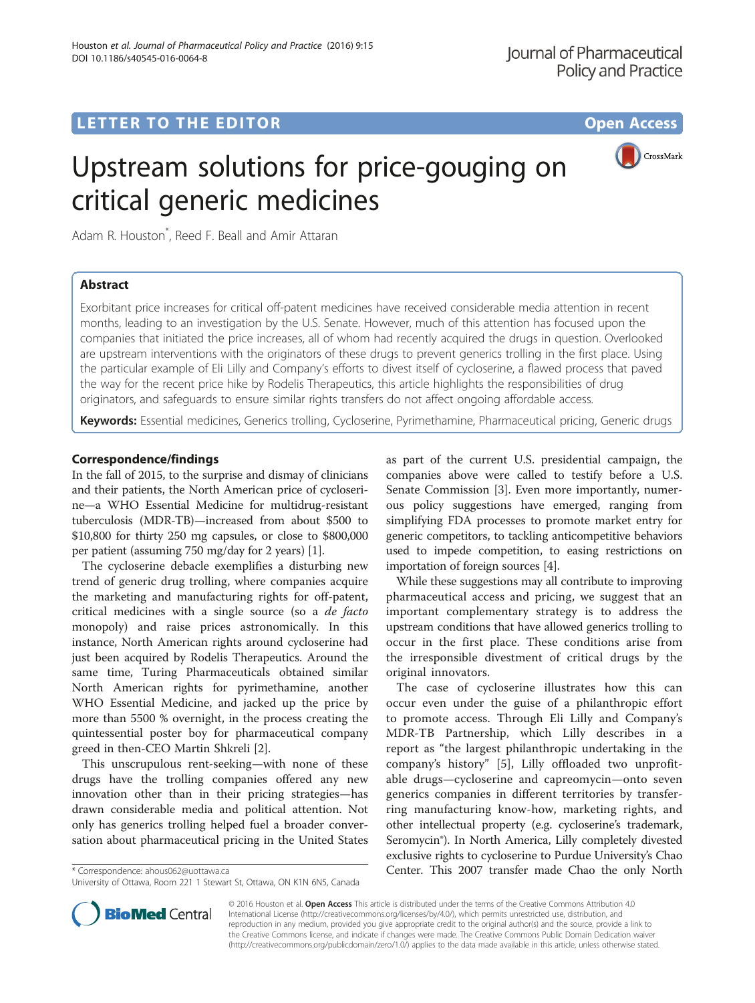## LETTER TO THE EDITOR **CONSIDERING A CONSIDERATION**



# Upstream solutions for price-gouging on critical generic medicines

Adam R. Houston\* , Reed F. Beall and Amir Attaran

## Abstract

Exorbitant price increases for critical off-patent medicines have received considerable media attention in recent months, leading to an investigation by the U.S. Senate. However, much of this attention has focused upon the companies that initiated the price increases, all of whom had recently acquired the drugs in question. Overlooked are upstream interventions with the originators of these drugs to prevent generics trolling in the first place. Using the particular example of Eli Lilly and Company's efforts to divest itself of cycloserine, a flawed process that paved the way for the recent price hike by Rodelis Therapeutics, this article highlights the responsibilities of drug originators, and safeguards to ensure similar rights transfers do not affect ongoing affordable access.

Keywords: Essential medicines, Generics trolling, Cycloserine, Pyrimethamine, Pharmaceutical pricing, Generic drugs

## Correspondence/findings

In the fall of 2015, to the surprise and dismay of clinicians and their patients, the North American price of cycloserine—a WHO Essential Medicine for multidrug-resistant tuberculosis (MDR-TB)—increased from about \$500 to \$10,800 for thirty 250 mg capsules, or close to \$800,000 per patient (assuming 750 mg/day for 2 years) [\[1](#page-2-0)].

The cycloserine debacle exemplifies a disturbing new trend of generic drug trolling, where companies acquire the marketing and manufacturing rights for off-patent, critical medicines with a single source (so a de facto monopoly) and raise prices astronomically. In this instance, North American rights around cycloserine had just been acquired by Rodelis Therapeutics. Around the same time, Turing Pharmaceuticals obtained similar North American rights for pyrimethamine, another WHO Essential Medicine, and jacked up the price by more than 5500 % overnight, in the process creating the quintessential poster boy for pharmaceutical company greed in then-CEO Martin Shkreli [\[2](#page-2-0)].

This unscrupulous rent-seeking—with none of these drugs have the trolling companies offered any new innovation other than in their pricing strategies—has drawn considerable media and political attention. Not only has generics trolling helped fuel a broader conversation about pharmaceutical pricing in the United States

as part of the current U.S. presidential campaign, the companies above were called to testify before a U.S. Senate Commission [[3\]](#page-2-0). Even more importantly, numerous policy suggestions have emerged, ranging from simplifying FDA processes to promote market entry for generic competitors, to tackling anticompetitive behaviors used to impede competition, to easing restrictions on importation of foreign sources [[4\]](#page-2-0).

While these suggestions may all contribute to improving pharmaceutical access and pricing, we suggest that an important complementary strategy is to address the upstream conditions that have allowed generics trolling to occur in the first place. These conditions arise from the irresponsible divestment of critical drugs by the original innovators.

The case of cycloserine illustrates how this can occur even under the guise of a philanthropic effort to promote access. Through Eli Lilly and Company's MDR-TB Partnership, which Lilly describes in a report as "the largest philanthropic undertaking in the company's history" [\[5](#page-2-0)], Lilly offloaded two unprofitable drugs—cycloserine and capreomycin—onto seven generics companies in different territories by transferring manufacturing know-how, marketing rights, and other intellectual property (e.g. cycloserine's trademark, Seromycin®). In North America, Lilly completely divested exclusive rights to cycloserine to Purdue University's Chao \* Correspondence: [ahous062@uottawa.ca](mailto:ahous062@uottawa.ca) Center. This 2007 transfer made Chao the only North



© 2016 Houston et al. Open Access This article is distributed under the terms of the Creative Commons Attribution 4.0 International License [\(http://creativecommons.org/licenses/by/4.0/](http://creativecommons.org/licenses/by/4.0/)), which permits unrestricted use, distribution, and reproduction in any medium, provided you give appropriate credit to the original author(s) and the source, provide a link to the Creative Commons license, and indicate if changes were made. The Creative Commons Public Domain Dedication waiver [\(http://creativecommons.org/publicdomain/zero/1.0/](http://creativecommons.org/publicdomain/zero/1.0/)) applies to the data made available in this article, unless otherwise stated.

University of Ottawa, Room 221 1 Stewart St, Ottawa, ON K1N 6N5, Canada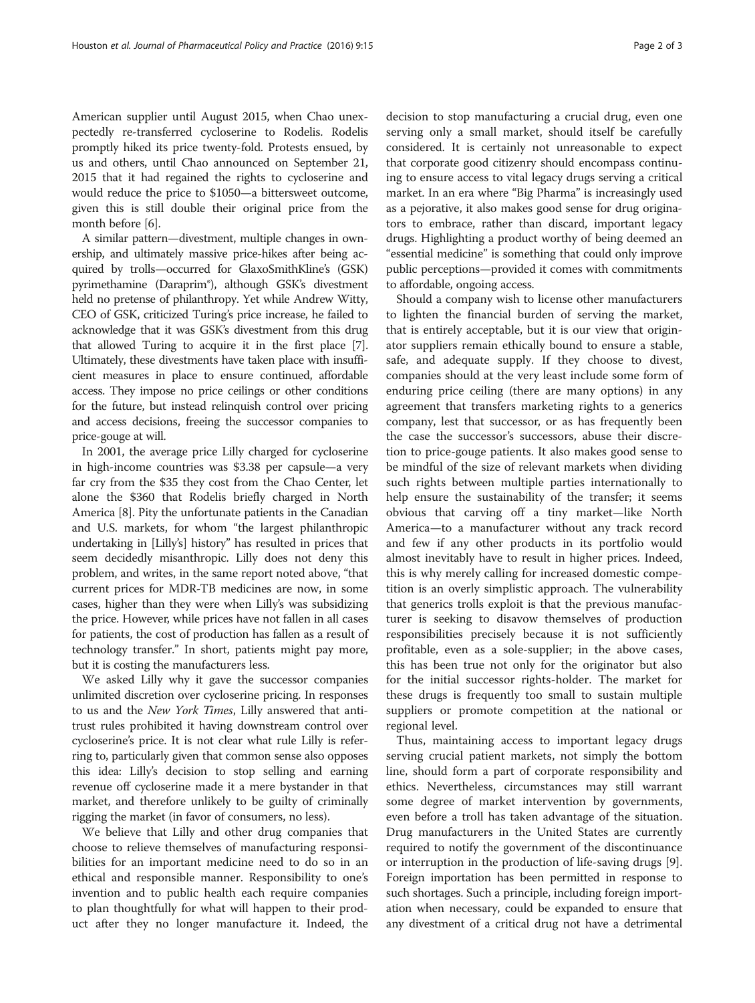American supplier until August 2015, when Chao unexpectedly re-transferred cycloserine to Rodelis. Rodelis promptly hiked its price twenty-fold. Protests ensued, by us and others, until Chao announced on September 21, 2015 that it had regained the rights to cycloserine and would reduce the price to \$1050—a bittersweet outcome, given this is still double their original price from the month before [[6\]](#page-2-0).

A similar pattern—divestment, multiple changes in ownership, and ultimately massive price-hikes after being acquired by trolls—occurred for GlaxoSmithKline's (GSK) pyrimethamine (Daraprim®), although GSK's divestment held no pretense of philanthropy. Yet while Andrew Witty, CEO of GSK, criticized Turing's price increase, he failed to acknowledge that it was GSK's divestment from this drug that allowed Turing to acquire it in the first place [[7](#page-2-0)]. Ultimately, these divestments have taken place with insufficient measures in place to ensure continued, affordable access. They impose no price ceilings or other conditions for the future, but instead relinquish control over pricing and access decisions, freeing the successor companies to price-gouge at will.

In 2001, the average price Lilly charged for cycloserine in high-income countries was \$3.38 per capsule—a very far cry from the \$35 they cost from the Chao Center, let alone the \$360 that Rodelis briefly charged in North America [\[8](#page-2-0)]. Pity the unfortunate patients in the Canadian and U.S. markets, for whom "the largest philanthropic undertaking in [Lilly's] history" has resulted in prices that seem decidedly misanthropic. Lilly does not deny this problem, and writes, in the same report noted above, "that current prices for MDR-TB medicines are now, in some cases, higher than they were when Lilly's was subsidizing the price. However, while prices have not fallen in all cases for patients, the cost of production has fallen as a result of technology transfer." In short, patients might pay more, but it is costing the manufacturers less.

We asked Lilly why it gave the successor companies unlimited discretion over cycloserine pricing. In responses to us and the New York Times, Lilly answered that antitrust rules prohibited it having downstream control over cycloserine's price. It is not clear what rule Lilly is referring to, particularly given that common sense also opposes this idea: Lilly's decision to stop selling and earning revenue off cycloserine made it a mere bystander in that market, and therefore unlikely to be guilty of criminally rigging the market (in favor of consumers, no less).

We believe that Lilly and other drug companies that choose to relieve themselves of manufacturing responsibilities for an important medicine need to do so in an ethical and responsible manner. Responsibility to one's invention and to public health each require companies to plan thoughtfully for what will happen to their product after they no longer manufacture it. Indeed, the decision to stop manufacturing a crucial drug, even one serving only a small market, should itself be carefully considered. It is certainly not unreasonable to expect that corporate good citizenry should encompass continuing to ensure access to vital legacy drugs serving a critical market. In an era where "Big Pharma" is increasingly used as a pejorative, it also makes good sense for drug originators to embrace, rather than discard, important legacy drugs. Highlighting a product worthy of being deemed an "essential medicine" is something that could only improve public perceptions—provided it comes with commitments to affordable, ongoing access.

Should a company wish to license other manufacturers to lighten the financial burden of serving the market, that is entirely acceptable, but it is our view that originator suppliers remain ethically bound to ensure a stable, safe, and adequate supply. If they choose to divest, companies should at the very least include some form of enduring price ceiling (there are many options) in any agreement that transfers marketing rights to a generics company, lest that successor, or as has frequently been the case the successor's successors, abuse their discretion to price-gouge patients. It also makes good sense to be mindful of the size of relevant markets when dividing such rights between multiple parties internationally to help ensure the sustainability of the transfer; it seems obvious that carving off a tiny market—like North America—to a manufacturer without any track record and few if any other products in its portfolio would almost inevitably have to result in higher prices. Indeed, this is why merely calling for increased domestic competition is an overly simplistic approach. The vulnerability that generics trolls exploit is that the previous manufacturer is seeking to disavow themselves of production responsibilities precisely because it is not sufficiently profitable, even as a sole-supplier; in the above cases, this has been true not only for the originator but also for the initial successor rights-holder. The market for these drugs is frequently too small to sustain multiple suppliers or promote competition at the national or regional level.

Thus, maintaining access to important legacy drugs serving crucial patient markets, not simply the bottom line, should form a part of corporate responsibility and ethics. Nevertheless, circumstances may still warrant some degree of market intervention by governments, even before a troll has taken advantage of the situation. Drug manufacturers in the United States are currently required to notify the government of the discontinuance or interruption in the production of life-saving drugs [\[9](#page-2-0)]. Foreign importation has been permitted in response to such shortages. Such a principle, including foreign importation when necessary, could be expanded to ensure that any divestment of a critical drug not have a detrimental